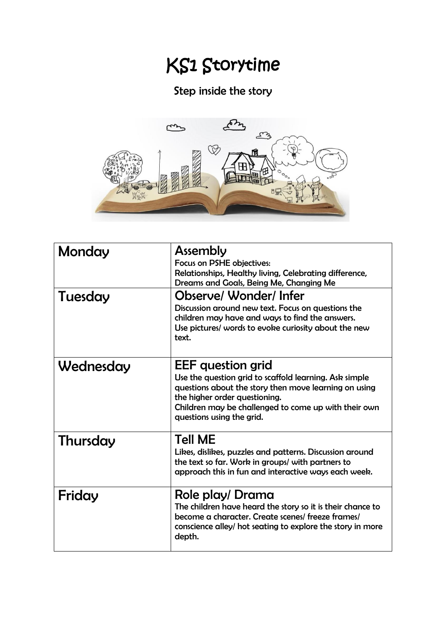## KS1 Storytime

## Step inside the story



| Monday    | <b>Assembly</b>                                                                                                                                                                                                                                                   |
|-----------|-------------------------------------------------------------------------------------------------------------------------------------------------------------------------------------------------------------------------------------------------------------------|
|           | Focus on PSHE objectives:<br>Relationships, Healthy living, Celebrating difference,                                                                                                                                                                               |
|           | Dreams and Goals, Being Me, Changing Me                                                                                                                                                                                                                           |
| Tuesday   | <b>Observe/ Wonder/Infer</b><br>Discussion around new text. Focus on questions the<br>children may have and ways to find the answers.<br>Use pictures/ words to evoke curiosity about the new<br>text.                                                            |
| Wednesday | <b>EEF</b> question grid<br>Use the question grid to scaffold learning. Ask simple<br>questions about the story then move learning on using<br>the higher order questioning.<br>Children may be challenged to come up with their own<br>questions using the grid. |
| Thursday  | <b>Tell ME</b><br>Likes, dislikes, puzzles and patterns. Discussion around<br>the text so far. Work in groups/ with partners to<br>approach this in fun and interactive ways each week.                                                                           |
| Friday    | Role play/ Drama<br>The children have heard the story so it is their chance to<br>become a character. Create scenes/ freeze frames/<br>conscience alley/ hot seating to explore the story in more<br>depth.                                                       |